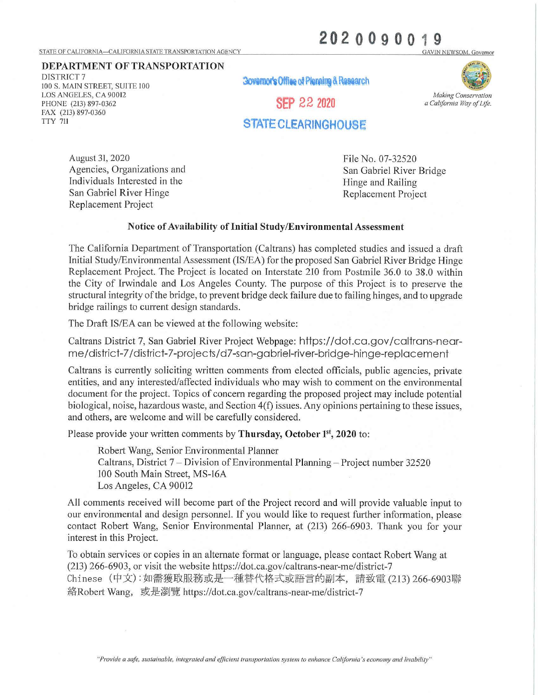## STATE OF CALIFORNIA-CALIFORNIA STATE TRANSPORTATION AGENCY

## 2020090019 **3AVIN NEWSOM, Governor**

**DEPARTMENT OF TRANSPORTATION** 

DISTRICT 7 100 S. MAIN STREET, SUITE 100 LOS ANGELES, CA 90012 PHONE (213) 897-0362 FAX (213) 897-0360 TTY 711

**3ovemor's Offlee of Plenning & Research** 

**SEP 22 2020** 



*a California Way of Life.* 

## **STATE CLEARINGHOuse**

August 31, 2020 Agencies, Organizations and Individuals Interested in the San Gabriel River Hinge Replacement Project

File No. 07-32520 San Gabriel River Bridge Hinge and Railing Replacement Project

## **Notice of Availability of Initial Study/Environmental Assessment**

The California Department of Transportation (Caltrans) has completed studies and issued a draft Initial Study/Environmental Assessment (IS/EA) for the proposed San Gabriel River Bridge Hinge Replacement Project. The Project is located on Interstate 210 from Postmile 36.0 to 38.0 within the City of Irwindale and Los Angeles County. The purpose of this Project is to preserve the structural integrity of the bridge, to prevent bridge deck failure due to failing hinges, and to upgrade bridge railings to current design standards.

The Draft IS/EA can be viewed at the following website:

Caltrans District 7, San Gabriel River Project Webpage: https://dot.ca.gov /caltrans-nearme/district-7 /district-7-projects/d7-san-gabriel-river-bridge-hinge-replacement

Caltrans is currently soliciting written comments from elected officials, public agencies, private entities, and any interested/affected individuals who may wish to comment on the environmental document for the project. Topics of concern regarding the proposed project may include potential biological, noise, hazardous waste, and Section 4(f) issues. Any opinions pertaining to these issues, and others, are welcome and will be carefully considered.

Please provide your written comments by **Thursday**, October 1<sup>st</sup>, 2020 to:

Robert Wang, Senior Environmental Planner Caltrans, District 7-Division of Environmental Planning-Project number 32520 100 South Main Street, MS-16A Los Angeles, CA 90012

All comments received will become part of the Project record and will provide valuable input to our environmental and design personnel. If you would like to request further information, please contact Robert Wang, Senior Environmental Planner, at (213) 266-6903. Thank you for your interest in this Project.

To obtain services or copies in an alternate format or language, please contact Robert Wang at (213) 266-6903, or visit the website https://dot.ca.gov/caltrans-near-me/district-7 Chinese (中文): 如需獲取服務或是一種替代格式或語言的副本, 請致電 (213) 266-6903聯 絡Robert Wang, 或是瀏覽 https://dot.ca.gov/caltrans-near-me/district-7